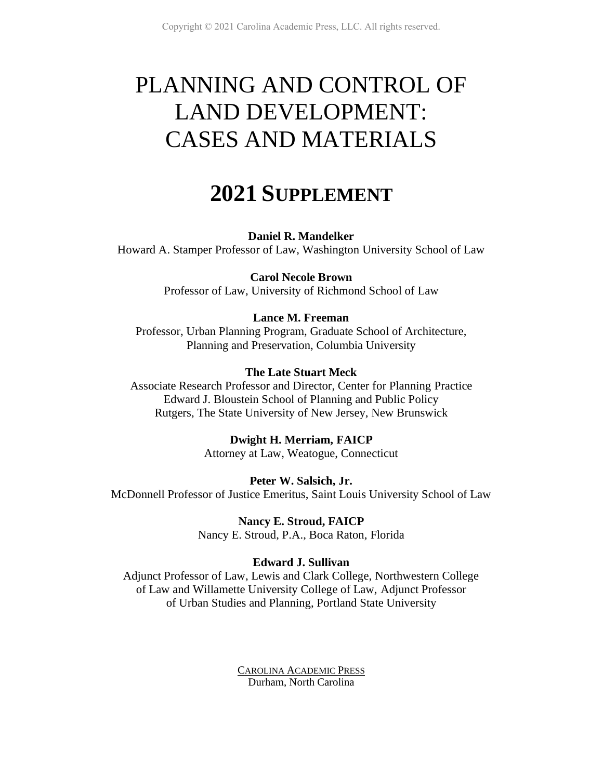# PLANNING AND CONTROL OF LAND DEVELOPMENT: CASES AND MATERIALS

# **2021 SUPPLEMENT**

## **Daniel R. Mandelker**

Howard A. Stamper Professor of Law, Washington University School of Law

**Carol Necole Brown** Professor of Law, University of Richmond School of Law

## **Lance M. Freeman**

Professor, Urban Planning Program, Graduate School of Architecture, Planning and Preservation, Columbia University

## **The Late Stuart Meck**

Associate Research Professor and Director, Center for Planning Practice Edward J. Bloustein School of Planning and Public Policy Rutgers, The State University of New Jersey, New Brunswick

> **Dwight H. Merriam, FAICP** Attorney at Law, Weatogue, Connecticut

**Peter W. Salsich, Jr.** McDonnell Professor of Justice Emeritus, Saint Louis University School of Law

> **Nancy E. Stroud, FAICP** Nancy E. Stroud, P.A., Boca Raton, Florida

# **Edward J. Sullivan**

Adjunct Professor of Law, Lewis and Clark College, Northwestern College of Law and Willamette University College of Law, Adjunct Professor of Urban Studies and Planning, Portland State University

> CAROLINA ACADEMIC PRESS Durham, North Carolina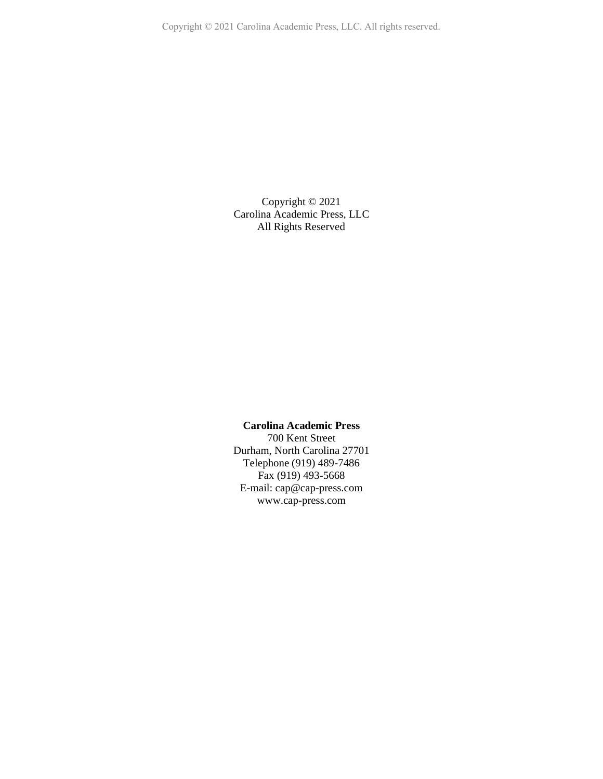Copyright © 2021 Carolina Academic Press, LLC. All rights reserved.

Copyright © 2021 Carolina Academic Press, LLC All Rights Reserved

#### **Carolina Academic Press**

700 Kent Street Durham, North Carolina 27701 Telephone (919) 489-7486 Fax (919) 493-5668 E-mail: cap@cap-press.com www.cap-press.com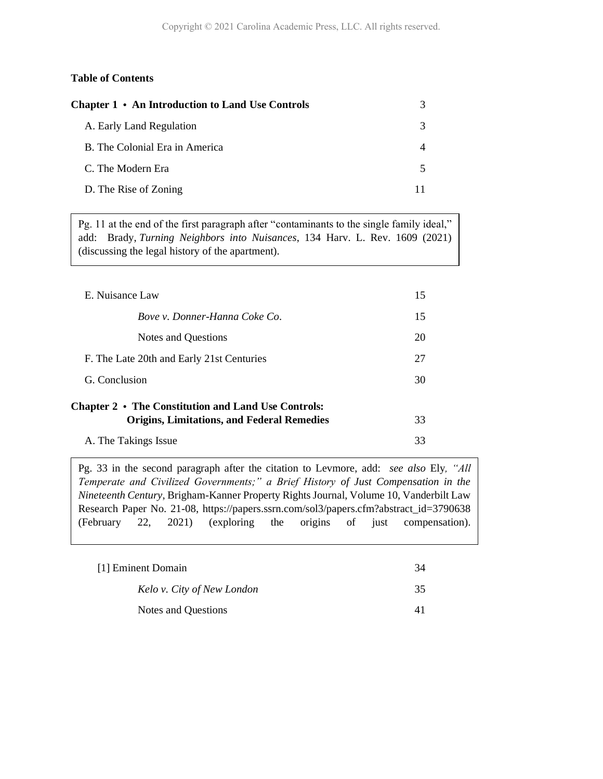#### **Table of Contents**

| Chapter 1 • An Introduction to Land Use Controls |  |
|--------------------------------------------------|--|
| A. Early Land Regulation                         |  |
| B. The Colonial Era in America                   |  |
| C. The Modern Era                                |  |
| D. The Rise of Zoning                            |  |

Pg. 11 at the end of the first paragraph after "contaminants to the single family ideal," add: Brady, *Turning Neighbors into Nuisances*, 134 Harv. L. Rev. 1609 (2021) (discussing the legal history of the apartment).

| E. Nuisance Law                                     | 15 |
|-----------------------------------------------------|----|
| Boye y. Donner-Hanna Coke Co.                       | 15 |
| Notes and Questions                                 | 20 |
| F. The Late 20th and Early 21st Centuries           | 27 |
| G. Conclusion                                       | 30 |
| Chapter 2 • The Constitution and Land Use Controls: |    |
| <b>Origins, Limitations, and Federal Remedies</b>   | 33 |
| A. The Takings Issue                                | 33 |

Pg. 33 in the second paragraph after the citation to Levmore, add: *see also* Ely*, "All Temperate and Civilized Governments;" a Brief History of Just Compensation in the Nineteenth Century*, Brigham-Kanner Property Rights Journal, Volume 10, Vanderbilt Law Research Paper No. 21-08, https://papers.ssrn.com/sol3/papers.cfm?abstract\_id=3790638 (February 22, 2021) (exploring the origins of just compensation).

| [1] Eminent Domain         | 34 |
|----------------------------|----|
| Kelo v. City of New London | 35 |
| Notes and Questions        |    |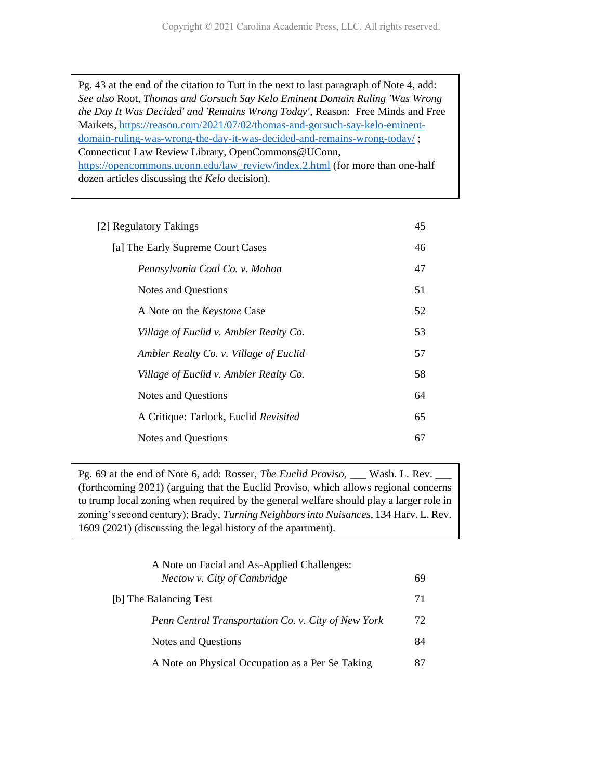Pg. 43 at the end of the citation to Tutt in the next to last paragraph of Note 4, add: *See also* Root, *Thomas and Gorsuch Say Kelo Eminent Domain Ruling 'Was Wrong the Day It Was Decided' and 'Remains Wrong Today'*, Reason: Free Minds and Free Markets, [https://reason.com/2021/07/02/thomas-and-gorsuch-say-kelo-eminent](https://reason.com/2021/07/02/thomas-and-gorsuch-say-kelo-eminent-domain-ruling-was-wrong-the-day-it-was-decided-and-remains-wrong-today/)[domain-ruling-was-wrong-the-day-it-was-decided-and-remains-wrong-today/](https://reason.com/2021/07/02/thomas-and-gorsuch-say-kelo-eminent-domain-ruling-was-wrong-the-day-it-was-decided-and-remains-wrong-today/) ; Connecticut Law Review Library, OpenCommons@UConn, [https://opencommons.uconn.edu/law\\_review/index.2.html](https://opencommons.uconn.edu/law_review/index.2.html) (for more than one-half dozen articles discussing the *Kelo* decision).

| [2] Regulatory Takings                 | 45 |
|----------------------------------------|----|
| [a] The Early Supreme Court Cases      | 46 |
| Pennsylvania Coal Co. v. Mahon         | 47 |
| <b>Notes and Questions</b>             | 51 |
| A Note on the <i>Keystone</i> Case     | 52 |
| Village of Euclid v. Ambler Realty Co. | 53 |
| Ambler Realty Co. v. Village of Euclid | 57 |
| Village of Euclid v. Ambler Realty Co. | 58 |
| <b>Notes and Questions</b>             | 64 |
| A Critique: Tarlock, Euclid Revisited  | 65 |
| <b>Notes and Questions</b>             | 67 |
|                                        |    |

Pg. 69 at the end of Note 6, add: Rosser, *The Euclid Proviso*, \_\_\_ Wash. L. Rev. \_\_\_ (forthcoming 2021) (arguing that the Euclid Proviso, which allows regional concerns to trump local zoning when required by the general welfare should play a larger role in zoning's second century); Brady, *Turning Neighborsinto Nuisances*, 134 Harv. L. Rev. 1609 (2021) (discussing the legal history of the apartment).

| A Note on Facial and As-Applied Challenges:<br>Nectow v. City of Cambridge | 69         |
|----------------------------------------------------------------------------|------------|
| [b] The Balancing Test                                                     | 71         |
| Penn Central Transportation Co. v. City of New York                        | 72         |
| Notes and Questions                                                        | 84         |
| A Note on Physical Occupation as a Per Se Taking                           | $_{\rm X}$ |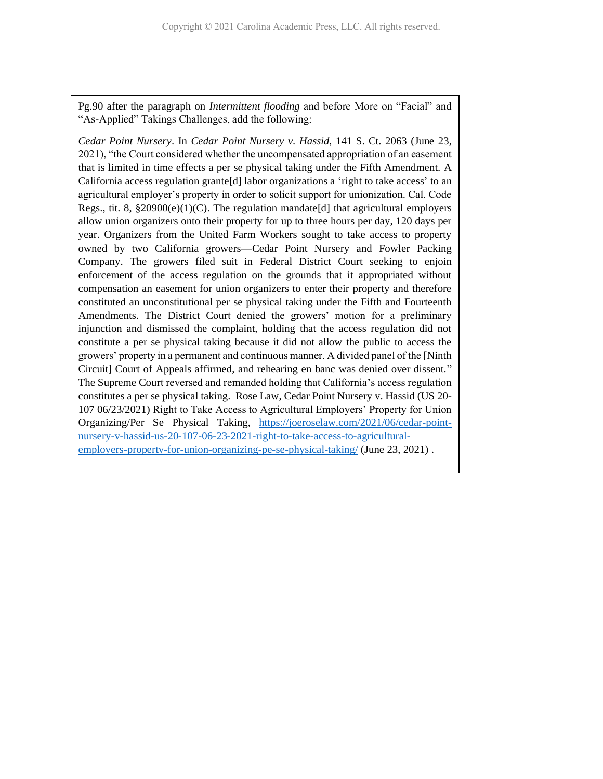Pg.90 after the paragraph on *Intermittent flooding* and before More on "Facial" and "As-Applied" Takings Challenges, add the following:

*Cedar Point Nursery*. In *Cedar Point Nursery v. Hassid*, 141 S. Ct. 2063 (June 23, 2021), "the Court considered whether the uncompensated appropriation of an easement that is limited in time effects a per se physical taking under the Fifth Amendment. A California access regulation grante[d] labor organizations a 'right to take access' to an agricultural employer's property in order to solicit support for unionization. Cal. Code Regs., tit. 8,  $\S20900(e)(1)(C)$ . The regulation mandate[d] that agricultural employers allow union organizers onto their property for up to three hours per day, 120 days per year. Organizers from the United Farm Workers sought to take access to property owned by two California growers—Cedar Point Nursery and Fowler Packing Company. The growers filed suit in Federal District Court seeking to enjoin enforcement of the access regulation on the grounds that it appropriated without compensation an easement for union organizers to enter their property and therefore constituted an unconstitutional per se physical taking under the Fifth and Fourteenth Amendments. The District Court denied the growers' motion for a preliminary injunction and dismissed the complaint, holding that the access regulation did not constitute a per se physical taking because it did not allow the public to access the growers' property in a permanent and continuous manner. A divided panel of the [Ninth Circuit] Court of Appeals affirmed, and rehearing en banc was denied over dissent." The Supreme Court reversed and remanded holding that California's access regulation constitutes a per se physical taking. Rose Law, Cedar Point Nursery v. Hassid (US 20- 107 06/23/2021) Right to Take Access to Agricultural Employers' Property for Union Organizing/Per Se Physical Taking, [https://joeroselaw.com/2021/06/cedar-point](https://joeroselaw.com/2021/06/cedar-point-nursery-v-hassid-us-20-107-06-23-2021-right-to-take-access-to-agricultural-employers-property-for-union-organizing-pe-se-physical-taking/)[nursery-v-hassid-us-20-107-06-23-2021-right-to-take-access-to-agricultural](https://joeroselaw.com/2021/06/cedar-point-nursery-v-hassid-us-20-107-06-23-2021-right-to-take-access-to-agricultural-employers-property-for-union-organizing-pe-se-physical-taking/)[employers-property-for-union-organizing-pe-se-physical-taking/](https://joeroselaw.com/2021/06/cedar-point-nursery-v-hassid-us-20-107-06-23-2021-right-to-take-access-to-agricultural-employers-property-for-union-organizing-pe-se-physical-taking/) (June 23, 2021) .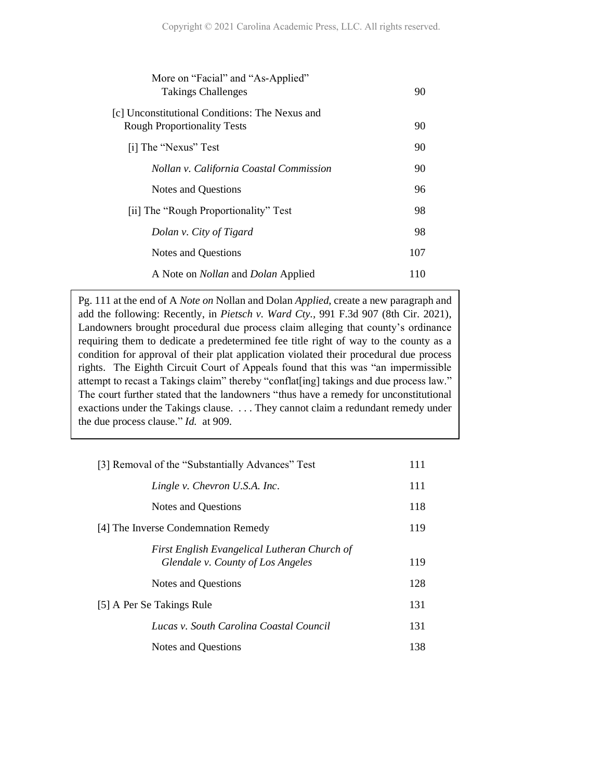| More on "Facial" and "As-Applied"<br><b>Takings Challenges</b>                       | 90  |
|--------------------------------------------------------------------------------------|-----|
| [c] Unconstitutional Conditions: The Nexus and<br><b>Rough Proportionality Tests</b> | 90  |
| [i] The "Nexus" Test                                                                 | 90  |
| Nollan v. California Coastal Commission                                              | 90  |
| Notes and Questions                                                                  | 96  |
| [ii] The "Rough Proportionality" Test                                                | 98  |
| Dolan v. City of Tigard                                                              | 98  |
| Notes and Questions                                                                  | 107 |
| A Note on <i>Nollan</i> and <i>Dolan</i> Applied                                     | 110 |

Pg. 111 at the end of A *Note on* Nollan and Dolan *Applied*, create a new paragraph and add the following: Recently, in *Pietsch v. Ward Cty.,* 991 F.3d 907 (8th Cir. 2021), Landowners brought procedural due process claim alleging that county's ordinance requiring them to dedicate a predetermined fee title right of way to the county as a condition for approval of their plat application violated their procedural due process rights. The Eighth Circuit Court of Appeals found that this was "an impermissible attempt to recast a Takings claim" thereby "conflat[ing] takings and due process law." The court further stated that the landowners "thus have a remedy for unconstitutional exactions under the Takings clause. . . . They cannot claim a redundant remedy under the due process clause." *Id.* at 909.

| [3] Removal of the "Substantially Advances" Test | 111 |
|--------------------------------------------------|-----|
| Lingle v. Chevron U.S.A. Inc.                    | 111 |
| Notes and Questions                              | 118 |
| [4] The Inverse Condemnation Remedy              | 119 |
| First English Evangelical Lutheran Church of     |     |
| Glendale v. County of Los Angeles                | 119 |
| Notes and Questions                              | 128 |
| [5] A Per Se Takings Rule                        | 131 |
| Lucas v. South Carolina Coastal Council          | 131 |
| Notes and Questions                              | 138 |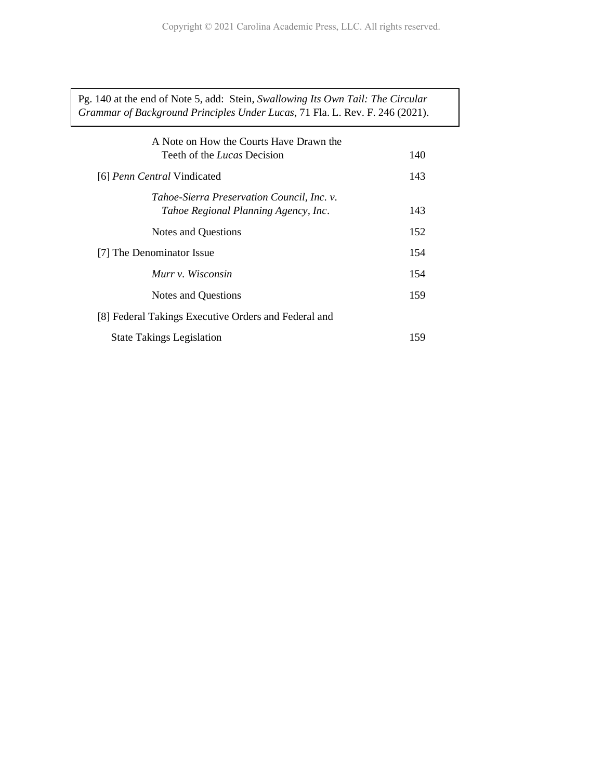Pg. 140 at the end of Note 5, add: Stein, *Swallowing Its Own Tail: The Circular Grammar of Background Principles Under Lucas*, 71 Fla. L. Rev. F. 246 (2021).

| A Note on How the Courts Have Drawn the              |     |
|------------------------------------------------------|-----|
| Teeth of the <i>Lucas</i> Decision                   | 140 |
| [6] Penn Central Vindicated                          | 143 |
| Tahoe-Sierra Preservation Council, Inc. v.           |     |
| Tahoe Regional Planning Agency, Inc.                 | 143 |
| Notes and Questions                                  | 152 |
| [7] The Denominator Issue                            | 154 |
| Murr v. Wisconsin                                    | 154 |
| Notes and Questions                                  | 159 |
| [8] Federal Takings Executive Orders and Federal and |     |
| <b>State Takings Legislation</b>                     | 159 |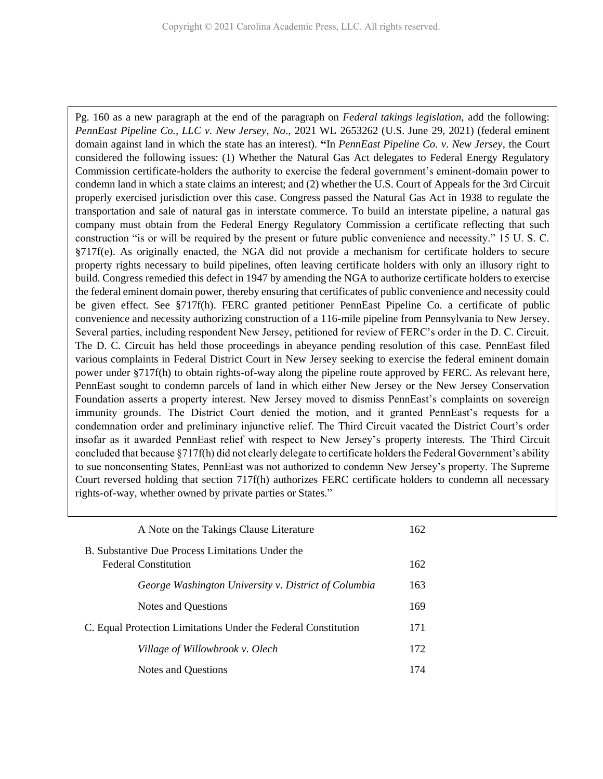Pg. 160 as a new paragraph at the end of the paragraph on *Federal takings legislation*, add the following: *PennEast Pipeline Co., LLC v. New Jersey, No*., 2021 WL 2653262 (U.S. June 29, 2021) (federal eminent domain against land in which the state has an interest). **"**In *PennEast Pipeline Co. v. New Jersey,* the Court considered the following issues: (1) Whether the Natural Gas Act delegates to Federal Energy Regulatory Commission certificate-holders the authority to exercise the federal government's eminent-domain power to condemn land in which a state claims an interest; and (2) whether the U.S. Court of Appeals for the 3rd Circuit properly exercised jurisdiction over this case. Congress passed the Natural Gas Act in 1938 to regulate the transportation and sale of natural gas in interstate commerce. To build an interstate pipeline, a natural gas company must obtain from the Federal Energy Regulatory Commission a certificate reflecting that such construction "is or will be required by the present or future public convenience and necessity." 15 U. S. C. §717f(e). As originally enacted, the NGA did not provide a mechanism for certificate holders to secure property rights necessary to build pipelines, often leaving certificate holders with only an illusory right to build. Congress remedied this defect in 1947 by amending the NGA to authorize certificate holders to exercise the federal eminent domain power, thereby ensuring that certificates of public convenience and necessity could be given effect. See §717f(h). FERC granted petitioner PennEast Pipeline Co. a certificate of public convenience and necessity authorizing construction of a 116-mile pipeline from Pennsylvania to New Jersey. Several parties, including respondent New Jersey, petitioned for review of FERC's order in the D. C. Circuit. The D. C. Circuit has held those proceedings in abeyance pending resolution of this case. PennEast filed various complaints in Federal District Court in New Jersey seeking to exercise the federal eminent domain power under §717f(h) to obtain rights-of-way along the pipeline route approved by FERC. As relevant here, PennEast sought to condemn parcels of land in which either New Jersey or the New Jersey Conservation Foundation asserts a property interest. New Jersey moved to dismiss PennEast's complaints on sovereign immunity grounds. The District Court denied the motion, and it granted PennEast's requests for a condemnation order and preliminary injunctive relief. The Third Circuit vacated the District Court's order insofar as it awarded PennEast relief with respect to New Jersey's property interests. The Third Circuit concluded that because §717f(h) did not clearly delegate to certificate holders the Federal Government's ability to sue nonconsenting States, PennEast was not authorized to condemn New Jersey's property. The Supreme Court reversed holding that section 717f(h) authorizes FERC certificate holders to condemn all necessary rights-of-way, whether owned by private parties or States."

| A Note on the Takings Clause Literature                                         | 162 |
|---------------------------------------------------------------------------------|-----|
| B. Substantive Due Process Limitations Under the<br><b>Federal Constitution</b> | 162 |
| George Washington University v. District of Columbia                            | 163 |
| Notes and Questions                                                             | 169 |
| C. Equal Protection Limitations Under the Federal Constitution                  | 171 |
| Village of Willowbrook v. Olech                                                 | 172 |
| Notes and Questions                                                             | 174 |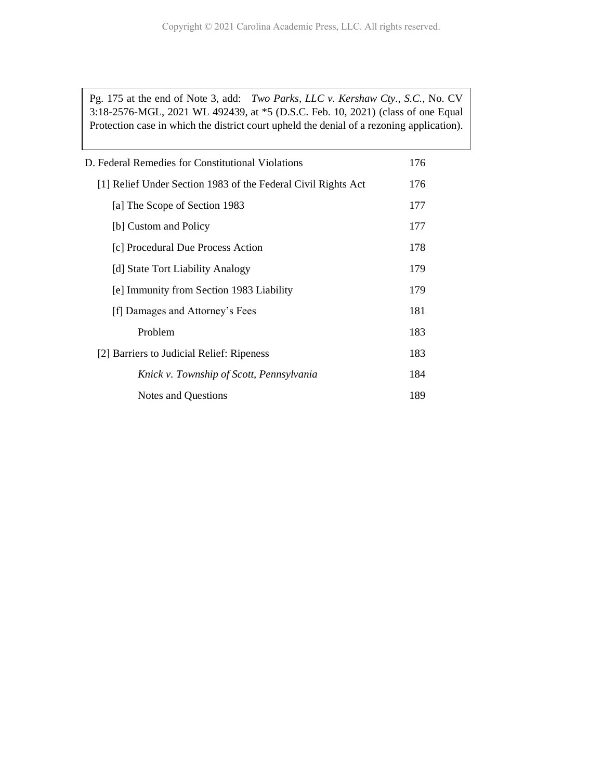Pg. 175 at the end of Note 3, add: *Two Parks, LLC v. Kershaw Cty., S.C.,* No. CV 3:18-2576-MGL, 2021 WL 492439, at \*5 (D.S.C. Feb. 10, 2021) (class of one Equal Protection case in which the district court upheld the denial of a rezoning application).

| D. Federal Remedies for Constitutional Violations             | 176 |  |
|---------------------------------------------------------------|-----|--|
| [1] Relief Under Section 1983 of the Federal Civil Rights Act | 176 |  |
| [a] The Scope of Section 1983                                 | 177 |  |
| [b] Custom and Policy                                         | 177 |  |
| [c] Procedural Due Process Action                             | 178 |  |
| [d] State Tort Liability Analogy                              | 179 |  |
| [e] Immunity from Section 1983 Liability                      | 179 |  |
| [f] Damages and Attorney's Fees                               | 181 |  |
| Problem                                                       | 183 |  |
| [2] Barriers to Judicial Relief: Ripeness                     | 183 |  |
| Knick v. Township of Scott, Pennsylvania                      | 184 |  |
| Notes and Questions                                           | 189 |  |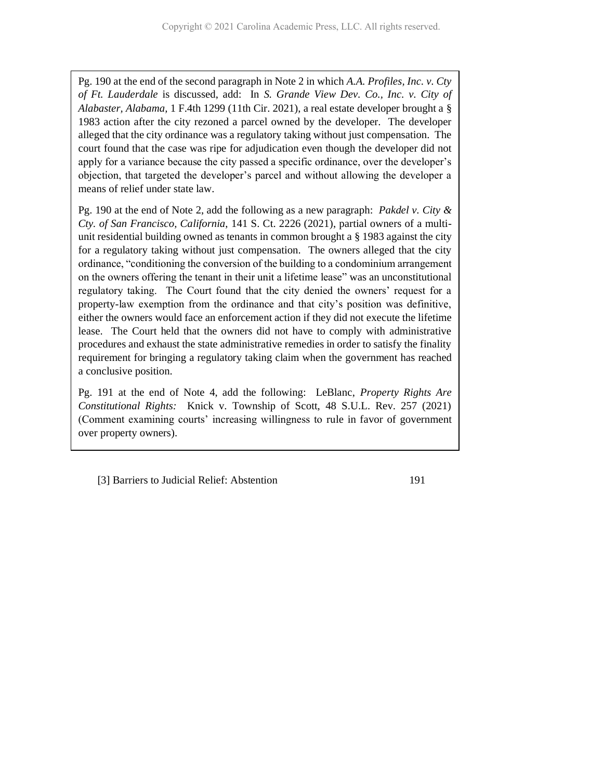Pg. 190 at the end of the second paragraph in Note 2 in which *A.A. Profiles, Inc. v. Cty of Ft. Lauderdale* is discussed, add: In *S. Grande View Dev. Co., Inc. v. City of Alabaster, Alabama,* 1 F.4th 1299 (11th Cir. 2021), a real estate developer brought a § 1983 action after the city rezoned a parcel owned by the developer. The developer alleged that the city ordinance was a regulatory taking without just compensation. The court found that the case was ripe for adjudication even though the developer did not apply for a variance because the city passed a specific ordinance, over the developer's objection, that targeted the developer's parcel and without allowing the developer a means of relief under state law.

Pg. 190 at the end of Note 2, add the following as a new paragraph: *Pakdel v. City & Cty. of San Francisco, California*, 141 S. Ct. 2226 (2021), partial owners of a multiunit residential building owned as tenants in common brought a § 1983 against the city for a regulatory taking without just compensation. The owners alleged that the city ordinance, "conditioning the conversion of the building to a condominium arrangement on the owners offering the tenant in their unit a lifetime lease" was an unconstitutional regulatory taking. The Court found that the city denied the owners' request for a property-law exemption from the ordinance and that city's position was definitive, either the owners would face an enforcement action if they did not execute the lifetime lease. The Court held that the owners did not have to comply with administrative procedures and exhaust the state administrative remedies in order to satisfy the finality requirement for bringing a regulatory taking claim when the government has reached a conclusive position.

Pg. 191 at the end of Note 4, add the following: LeBlanc, *Property Rights Are Constitutional Rights:* Knick v. Township of Scott, 48 S.U.L. Rev. 257 (2021) (Comment examining courts' increasing willingness to rule in favor of government over property owners).

[3] Barriers to Judicial Relief: Abstention 191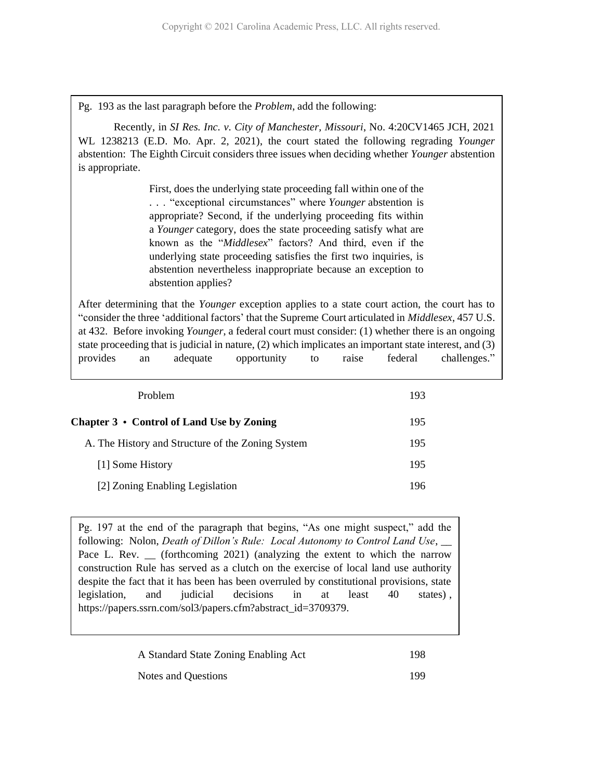Pg. 193 as the last paragraph before the *Problem*, add the following:

Recently, in *SI Res. Inc. v. City of Manchester, Missouri*, No. 4:20CV1465 JCH, 2021 WL 1238213 (E.D. Mo. Apr. 2, 2021), the court stated the following regrading *Younger*  abstention: The Eighth Circuit considers three issues when deciding whether *Younger* abstention is appropriate.

> First, does the underlying state proceeding fall within one of the . . . "exceptional circumstances" where *Younger* abstention is appropriate? Second, if the underlying proceeding fits within a *Younger* category, does the state proceeding satisfy what are known as the "*Middlesex*" factors? And third, even if the underlying state proceeding satisfies the first two inquiries, is abstention nevertheless inappropriate because an exception to abstention applies?

After determining that the *Younger* exception applies to a state court action, the court has to "consider the three 'additional factors' that the Supreme Court articulated in *Middlesex*, 457 U.S. at 432. Before invoking *Younger*, a federal court must consider: (1) whether there is an ongoing state proceeding that is judicial in nature, (2) which implicates an important state interest, and (3) provides an adequate opportunity to raise federal challenges."

| <b>Problem</b>                                    | 193 |
|---------------------------------------------------|-----|
| Chapter $3 \cdot$ Control of Land Use by Zoning   | 195 |
| A. The History and Structure of the Zoning System | 195 |
| [1] Some History                                  | 195 |
| [2] Zoning Enabling Legislation                   | 196 |

Pg. 197 at the end of the paragraph that begins, "As one might suspect," add the following: Nolon, *Death of Dillon's Rule: Local Autonomy to Control Land Use*, \_\_ Pace L. Rev.  $\frac{1}{2}$  (forthcoming 2021) (analyzing the extent to which the narrow construction Rule has served as a clutch on the exercise of local land use authority despite the fact that it has been has been overruled by constitutional provisions, state legislation, and judicial decisions in at least 40 states) , https://papers.ssrn.com/sol3/papers.cfm?abstract\_id=3709379.

| A Standard State Zoning Enabling Act | 198 |
|--------------------------------------|-----|
| Notes and Questions                  | 199 |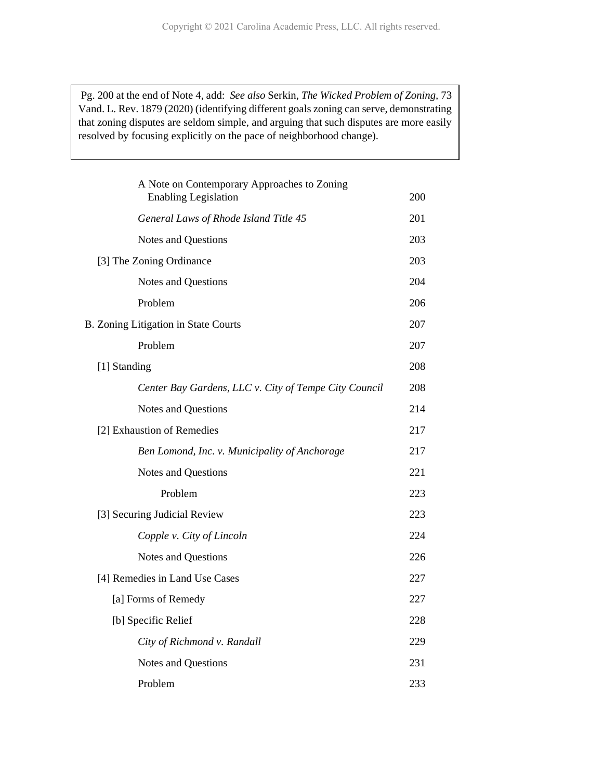Pg. 200 at the end of Note 4, add: *See also* Serkin, *The Wicked Problem of Zoning,* 73 Vand. L. Rev. 1879 (2020) (identifying different goals zoning can serve, demonstrating that zoning disputes are seldom simple, and arguing that such disputes are more easily resolved by focusing explicitly on the pace of neighborhood change).

| A Note on Contemporary Approaches to Zoning<br><b>Enabling Legislation</b> | 200 |
|----------------------------------------------------------------------------|-----|
| General Laws of Rhode Island Title 45                                      | 201 |
| Notes and Questions                                                        | 203 |
| [3] The Zoning Ordinance                                                   | 203 |
| Notes and Questions                                                        | 204 |
| Problem                                                                    | 206 |
| B. Zoning Litigation in State Courts                                       | 207 |
| Problem                                                                    | 207 |
| [1] Standing                                                               | 208 |
| Center Bay Gardens, LLC v. City of Tempe City Council                      | 208 |
| Notes and Questions                                                        | 214 |
| [2] Exhaustion of Remedies                                                 | 217 |
| Ben Lomond, Inc. v. Municipality of Anchorage                              | 217 |
| Notes and Questions                                                        | 221 |
| Problem                                                                    | 223 |
| [3] Securing Judicial Review                                               | 223 |
| Copple v. City of Lincoln                                                  | 224 |
| Notes and Questions                                                        | 226 |
| [4] Remedies in Land Use Cases                                             | 227 |
| [a] Forms of Remedy                                                        | 227 |
| [b] Specific Relief                                                        | 228 |
| City of Richmond v. Randall                                                | 229 |
| Notes and Questions                                                        | 231 |
| Problem                                                                    | 233 |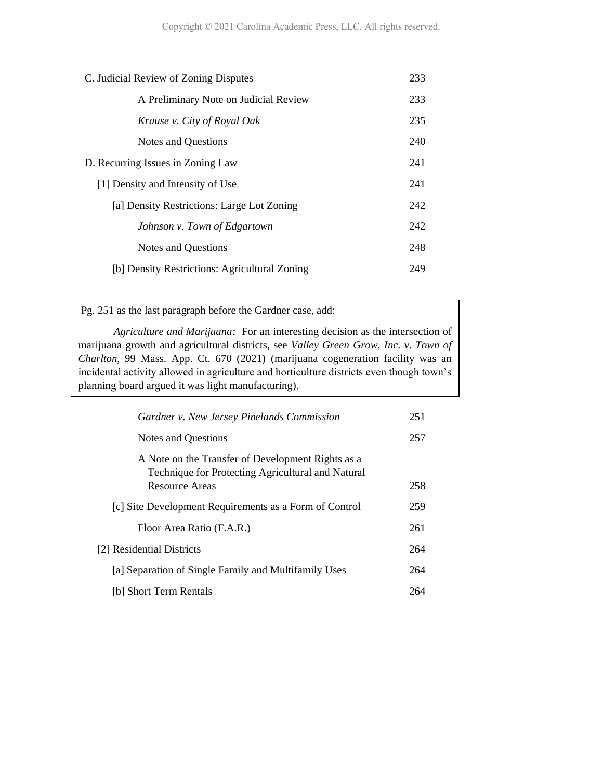| C. Judicial Review of Zoning Disputes         | 233 |
|-----------------------------------------------|-----|
| A Preliminary Note on Judicial Review         | 233 |
| Krause v. City of Royal Oak                   | 235 |
| Notes and Questions                           | 240 |
| D. Recurring Issues in Zoning Law             | 241 |
| [1] Density and Intensity of Use              | 241 |
| [a] Density Restrictions: Large Lot Zoning    | 242 |
| Johnson v. Town of Edgartown                  | 242 |
| <b>Notes and Questions</b>                    | 248 |
| [b] Density Restrictions: Agricultural Zoning | 249 |
|                                               |     |

Pg. 251 as the last paragraph before the Gardner case, add:

*Agriculture and Marijuana:* For an interesting decision as the intersection of marijuana growth and agricultural districts, see *Valley Green Grow, Inc. v. Town of Charlton*, 99 Mass. App. Ct. 670 (2021) (marijuana cogeneration facility was an incidental activity allowed in agriculture and horticulture districts even though town's planning board argued it was light manufacturing).

| Gardner v. New Jersey Pinelands Commission                                                             | 251 |
|--------------------------------------------------------------------------------------------------------|-----|
| Notes and Questions                                                                                    | 257 |
| A Note on the Transfer of Development Rights as a<br>Technique for Protecting Agricultural and Natural |     |
| <b>Resource Areas</b>                                                                                  | 258 |
| [c] Site Development Requirements as a Form of Control                                                 | 259 |
| Floor Area Ratio (F.A.R.)                                                                              | 261 |
| [2] Residential Districts                                                                              | 264 |
| [a] Separation of Single Family and Multifamily Uses                                                   | 264 |
| [b] Short Term Rentals                                                                                 | 264 |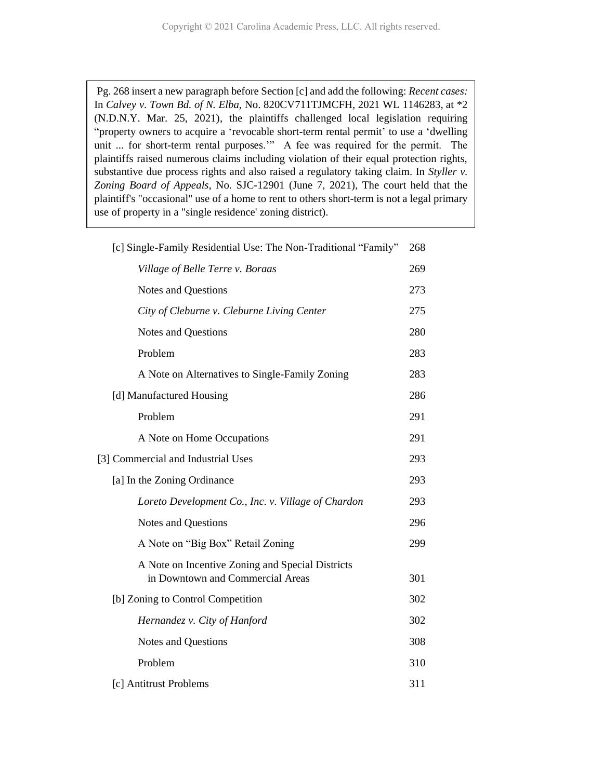Pg. 268 insert a new paragraph before Section [c] and add the following: *Recent cases:* In *Calvey v. Town Bd. of N. Elba*, No. 820CV711TJMCFH, 2021 WL 1146283, at \*2 (N.D.N.Y. Mar. 25, 2021), the plaintiffs challenged local legislation requiring "property owners to acquire a 'revocable short-term rental permit' to use a 'dwelling unit ... for short-term rental purposes.'" A fee was required for the permit. The plaintiffs raised numerous claims including violation of their equal protection rights, substantive due process rights and also raised a regulatory taking claim. In *Styller v. Zoning Board of Appeals*, No. SJC-12901 (June 7, 2021), The court held that the plaintiff's "occasional" use of a home to rent to others short-term is not a legal primary use of property in a "single residence' zoning district).

| [c] Single-Family Residential Use: The Non-Traditional "Family" | 268 |
|-----------------------------------------------------------------|-----|
| Village of Belle Terre v. Boraas                                | 269 |
| Notes and Questions                                             | 273 |
| City of Cleburne v. Cleburne Living Center                      | 275 |
| <b>Notes and Questions</b>                                      | 280 |
| Problem                                                         | 283 |
| A Note on Alternatives to Single-Family Zoning                  | 283 |
| [d] Manufactured Housing                                        | 286 |
| Problem                                                         | 291 |
| A Note on Home Occupations                                      | 291 |
| [3] Commercial and Industrial Uses                              | 293 |
| [a] In the Zoning Ordinance                                     | 293 |
| Loreto Development Co., Inc. v. Village of Chardon              | 293 |
| Notes and Questions                                             | 296 |
| A Note on "Big Box" Retail Zoning                               | 299 |
| A Note on Incentive Zoning and Special Districts                |     |
| in Downtown and Commercial Areas                                | 301 |
| [b] Zoning to Control Competition                               | 302 |
| Hernandez v. City of Hanford                                    | 302 |
| Notes and Questions                                             | 308 |
| Problem                                                         | 310 |
| [c] Antitrust Problems                                          | 311 |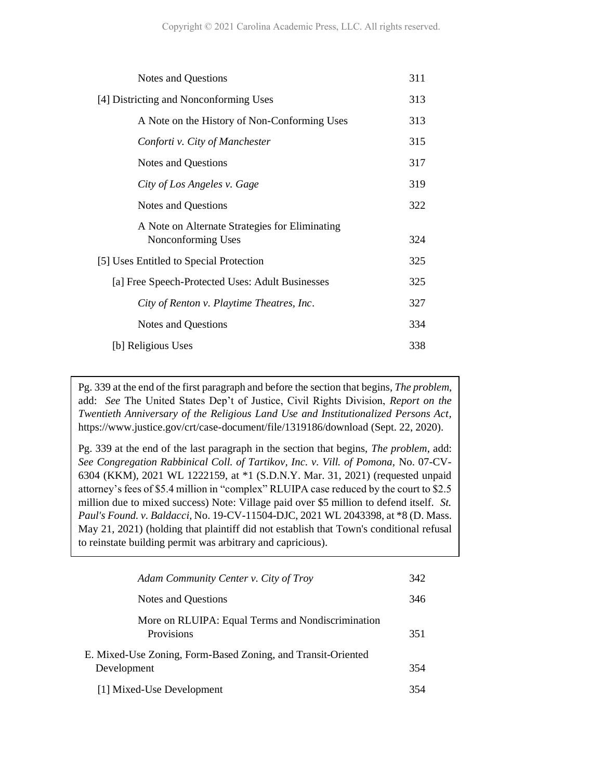| <b>Notes and Questions</b>                                           | 311 |
|----------------------------------------------------------------------|-----|
| [4] Districting and Nonconforming Uses                               | 313 |
| A Note on the History of Non-Conforming Uses                         | 313 |
| Conforti v. City of Manchester                                       | 315 |
| Notes and Questions                                                  | 317 |
| City of Los Angeles v. Gage                                          | 319 |
| Notes and Questions                                                  | 322 |
| A Note on Alternate Strategies for Eliminating<br>Nonconforming Uses | 324 |
| [5] Uses Entitled to Special Protection                              | 325 |
| [a] Free Speech-Protected Uses: Adult Businesses                     | 325 |
| City of Renton v. Playtime Theatres, Inc.                            | 327 |
| Notes and Questions                                                  | 334 |
| [b] Religious Uses                                                   | 338 |

Pg. 339 at the end of the first paragraph and before the section that begins, *The problem*, add: *See* The United States Dep't of Justice, Civil Rights Division, *Report on the Twentieth Anniversary of the Religious Land Use and Institutionalized Persons Act,*  https://www.justice.gov/crt/case-document/file/1319186/download (Sept. 22, 2020).

Pg. 339 at the end of the last paragraph in the section that begins, *The problem*, add: *See Congregation Rabbinical Coll. of Tartikov, Inc. v. Vill. of Pomona,* No. 07-CV-6304 (KKM), 2021 WL 1222159, at \*1 (S.D.N.Y. Mar. 31, 2021) (requested unpaid attorney's fees of \$5.4 million in "complex" RLUIPA case reduced by the court to \$2.5 million due to mixed success) Note: Village paid over \$5 million to defend itself. *St. Paul's Found. v. Baldacci,* No. 19-CV-11504-DJC, 2021 WL 2043398, at \*8 (D. Mass. May 21, 2021) (holding that plaintiff did not establish that Town's conditional refusal to reinstate building permit was arbitrary and capricious).

| Adam Community Center v. City of Troy                                       | 342 |
|-----------------------------------------------------------------------------|-----|
| Notes and Questions                                                         | 346 |
| More on RLUIPA: Equal Terms and Nondiscrimination<br>Provisions             | 351 |
| E. Mixed-Use Zoning, Form-Based Zoning, and Transit-Oriented<br>Development | 354 |
| [1] Mixed-Use Development                                                   | 354 |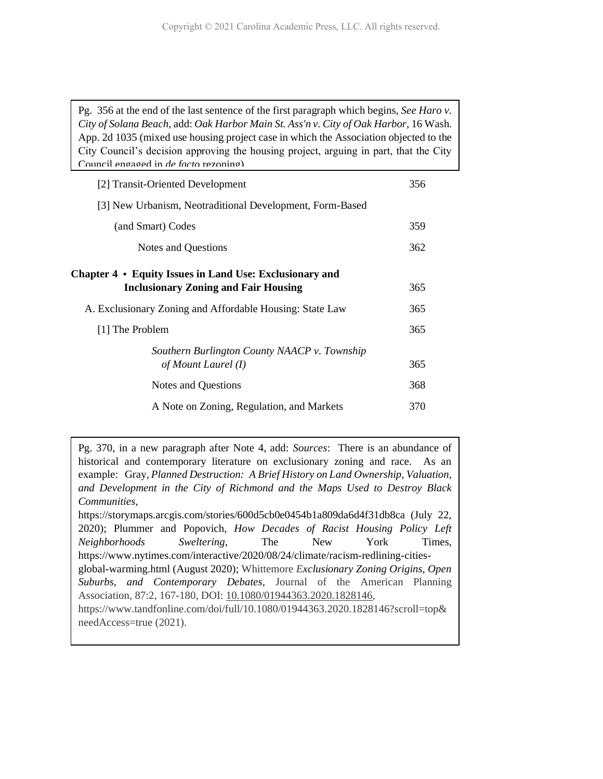Pg. 356 at the end of the last sentence of the first paragraph which begins, *See Haro v. City of Solana Beach*, add: *Oak Harbor Main St. Ass'n v. City of Oak Harbor*, 16 Wash. App. 2d 1035 (mixed use housing project case in which the Association objected to the City Council's decision approving the housing project, arguing in part, that the City Council engaged in *de facto* rezoning).

| [2] Transit-Oriented Development                                                                       | 356 |
|--------------------------------------------------------------------------------------------------------|-----|
| [3] New Urbanism, Neotraditional Development, Form-Based                                               |     |
| (and Smart) Codes                                                                                      | 359 |
| Notes and Questions                                                                                    | 362 |
| Chapter 4 • Equity Issues in Land Use: Exclusionary and<br><b>Inclusionary Zoning and Fair Housing</b> | 365 |
| A. Exclusionary Zoning and Affordable Housing: State Law                                               | 365 |
| [1] The Problem                                                                                        | 365 |
| Southern Burlington County NAACP v. Township<br>of Mount Laurel (I)                                    | 365 |
| Notes and Questions                                                                                    | 368 |
| A Note on Zoning, Regulation, and Markets                                                              | 370 |

Pg. 370, in a new paragraph after Note 4, add: *Sources*: There is an abundance of historical and contemporary literature on exclusionary zoning and race. As an example: Gray, *Planned Destruction: A Brief History on Land Ownership, Valuation, and Development in the City of Richmond and the Maps Used to Destroy Black Communities*, https://storymaps.arcgis.com/stories/600d5cb0e0454b1a809da6d4f31db8ca (July 22, 2020); Plummer and Popovich, *How Decades of Racist Housing Policy Left Neighborhoods Sweltering*, The New York Times,

https://www.nytimes.com/interactive/2020/08/24/climate/racism-redlining-cities-

global-warming.html (August 2020); Whittemore *Exclusionary Zoning Origins, Open Suburbs, and Contemporary Debates,* Journal of the American Planning Association, 87:2, 167-180, DOI: [10.1080/01944363.2020.1828146,](https://doi.org/10.1080/01944363.2020.1828146)

https://www.tandfonline.com/doi/full/10.1080/01944363.2020.1828146?scroll=top& needAccess=true (2021).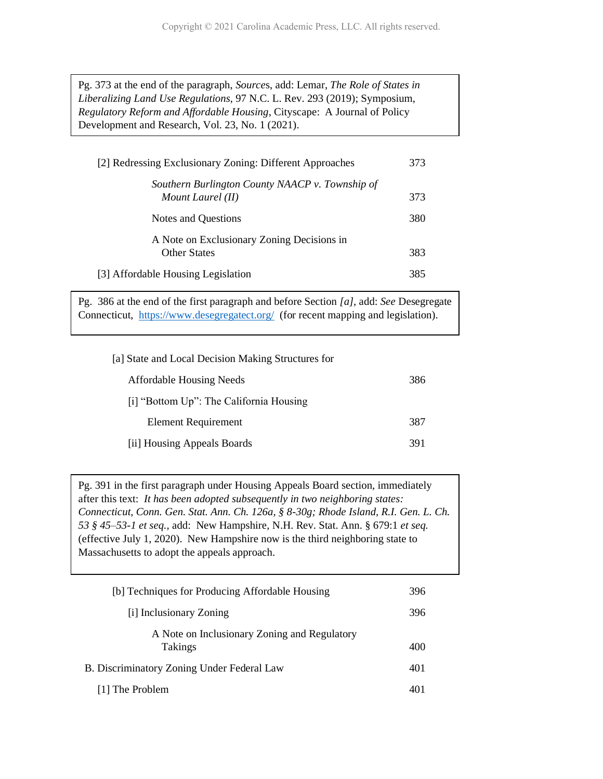Pg. 373 at the end of the paragraph, *Source*s, add: Lemar, *The Role of States in Liberalizing Land Use Regulations*, 97 N.C. L. Rev. 293 (2019); Symposium, *Regulatory Reform and Affordable Housing*, Cityscape: A Journal of Policy Development and Research, Vol. 23, No. 1 (2021).

| [2] Redressing Exclusionary Zoning: Different Approaches             | 373 |
|----------------------------------------------------------------------|-----|
| Southern Burlington County NAACP v. Township of<br>Mount Laurel (II) | 373 |
| Notes and Questions                                                  | 380 |
| A Note on Exclusionary Zoning Decisions in<br><b>Other States</b>    | 383 |
| [3] Affordable Housing Legislation                                   | 385 |

Pg. 386 at the end of the first paragraph and before Section *[a]*, add: *See* Desegregate Connecticut, <https://www.desegregatect.org/>(for recent mapping and legislation).

| [a] State and Local Decision Making Structures for |     |
|----------------------------------------------------|-----|
| <b>Affordable Housing Needs</b>                    | 386 |
| [i] "Bottom Up": The California Housing            |     |
| <b>Element Requirement</b>                         | 387 |
| [ii] Housing Appeals Boards                        | 391 |

Pg. 391 in the first paragraph under Housing Appeals Board section, immediately after this text: *It has been adopted subsequently in two neighboring states: Connecticut, Conn. Gen. Stat. Ann. Ch. 126a, § 8-30g; Rhode Island, R.I. Gen. L. Ch. 53 § 45–53-1 et seq.,* add: New Hampshire, N.H. Rev. Stat. Ann. § 679:1 *et seq.*  (effective July 1, 2020). New Hampshire now is the third neighboring state to Massachusetts to adopt the appeals approach.

| [b] Techniques for Producing Affordable Housing                | 396 |
|----------------------------------------------------------------|-----|
| [i] Inclusionary Zoning                                        | 396 |
| A Note on Inclusionary Zoning and Regulatory<br><b>Takings</b> | 400 |
| B. Discriminatory Zoning Under Federal Law                     | 401 |
| [1] The Problem                                                | 401 |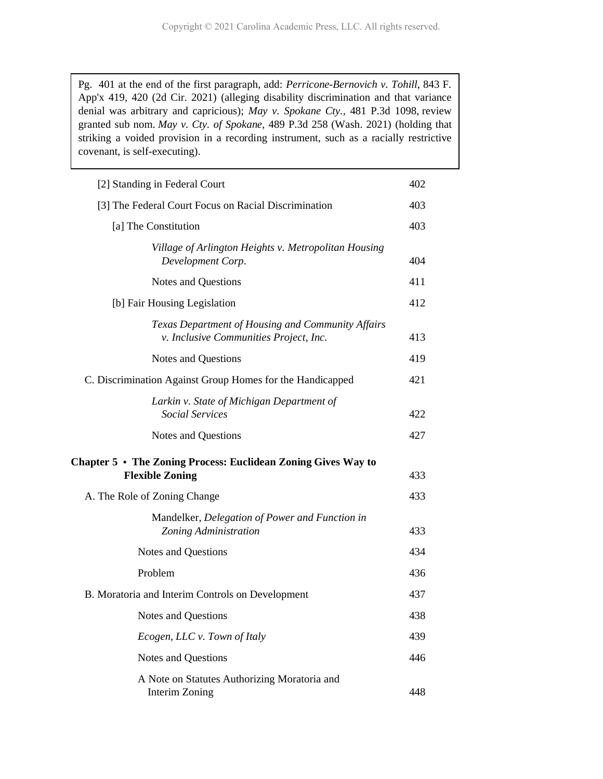Pg. 401 at the end of the first paragraph, add: *Perricone-Bernovich v. Tohill*, 843 F. App'x 419, 420 (2d Cir. 2021) (alleging disability discrimination and that variance denial was arbitrary and capricious); *May v. Spokane Cty.,* 481 P.3d 1098, review granted sub nom. *May v. Cty. of Spokane*, 489 P.3d 258 (Wash. 2021) (holding that striking a voided provision in a recording instrument, such as a racially restrictive covenant, is self-executing).

| [2] Standing in Federal Court                                                                 | 402 |
|-----------------------------------------------------------------------------------------------|-----|
| [3] The Federal Court Focus on Racial Discrimination                                          | 403 |
| [a] The Constitution                                                                          | 403 |
| Village of Arlington Heights v. Metropolitan Housing<br>Development Corp.                     | 404 |
| Notes and Questions                                                                           | 411 |
| [b] Fair Housing Legislation                                                                  | 412 |
| Texas Department of Housing and Community Affairs<br>v. Inclusive Communities Project, Inc.   | 413 |
| Notes and Questions                                                                           | 419 |
| C. Discrimination Against Group Homes for the Handicapped                                     | 421 |
| Larkin v. State of Michigan Department of<br><b>Social Services</b>                           | 422 |
| Notes and Questions                                                                           | 427 |
| Chapter $5 \cdot$ The Zoning Process: Euclidean Zoning Gives Way to<br><b>Flexible Zoning</b> | 433 |
| A. The Role of Zoning Change                                                                  | 433 |
| Mandelker, Delegation of Power and Function in<br>Zoning Administration                       | 433 |
| Notes and Questions                                                                           | 434 |
| Problem                                                                                       | 436 |
| B. Moratoria and Interim Controls on Development                                              | 437 |
| Notes and Questions                                                                           | 438 |
| Ecogen, LLC v. Town of Italy                                                                  | 439 |
| Notes and Questions                                                                           | 446 |
| A Note on Statutes Authorizing Moratoria and<br>Interim Zoning                                | 448 |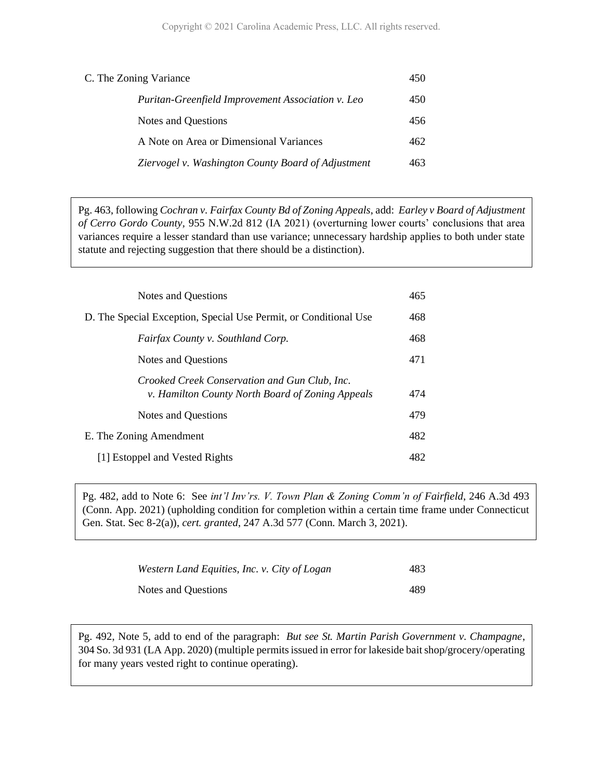| C. The Zoning Variance                             | 450 |
|----------------------------------------------------|-----|
| Puritan-Greenfield Improvement Association v. Leo  | 450 |
| Notes and Questions                                | 456 |
| A Note on Area or Dimensional Variances            | 462 |
| Ziervogel v. Washington County Board of Adjustment | 463 |

Pg. 463, following *Cochran v. Fairfax County Bd of Zoning Appeals*, add: *Earley v Board of Adjustment of Cerro Gordo County,* 955 N.W.2d 812 (IA 2021) (overturning lower courts' conclusions that area variances require a lesser standard than use variance; unnecessary hardship applies to both under state statute and rejecting suggestion that there should be a distinction).

| Notes and Questions                                                                               | 465 |
|---------------------------------------------------------------------------------------------------|-----|
| D. The Special Exception, Special Use Permit, or Conditional Use                                  | 468 |
| Fairfax County v. Southland Corp.                                                                 | 468 |
| Notes and Questions                                                                               | 471 |
| Crooked Creek Conservation and Gun Club, Inc.<br>v. Hamilton County North Board of Zoning Appeals | 474 |
| Notes and Questions                                                                               | 479 |
| E. The Zoning Amendment                                                                           | 482 |
| [1] Estoppel and Vested Rights                                                                    | 482 |

Pg. 482, add to Note 6: See *int'l Inv'rs. V. Town Plan & Zoning Comm'n of Fairfield*, 246 A.3d 493 (Conn. App. 2021) (upholding condition for completion within a certain time frame under Connecticut Gen. Stat. Sec 8-2(a)), *cert. granted*, 247 A.3d 577 (Conn. March 3, 2021).

| Western Land Equities, Inc. v. City of Logan | 483 |
|----------------------------------------------|-----|
| Notes and Questions                          | 489 |

Pg. 492, Note 5, add to end of the paragraph: *But see St. Martin Parish Government v. Champagne*, 304 So. 3d 931 (LA App. 2020) (multiple permits issued in error for lakeside bait shop/grocery/operating for many years vested right to continue operating).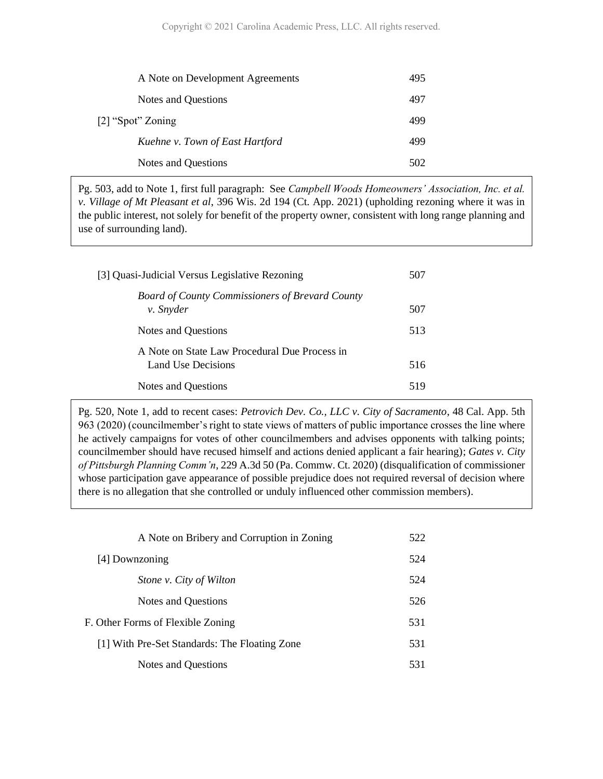| A Note on Development Agreements | 495 |
|----------------------------------|-----|
| Notes and Questions              | 497 |
| [2] "Spot" Zoning                | 499 |
| Kuehne v. Town of East Hartford  | 499 |
| Notes and Questions              | 502 |
|                                  |     |

Pg. 503, add to Note 1, first full paragraph: See *Campbell Woods Homeowners' Association, Inc. et al. v. Village of Mt Pleasant et al*, 396 Wis. 2d 194 (Ct. App. 2021) (upholding rezoning where it was in the public interest, not solely for benefit of the property owner, consistent with long range planning and use of surrounding land).

| [3] Quasi-Judicial Versus Legislative Rezoning                      | 507 |
|---------------------------------------------------------------------|-----|
| <b>Board of County Commissioners of Brevard County</b><br>v. Snyder | 507 |
| Notes and Questions                                                 | 513 |
| A Note on State Law Procedural Due Process in<br>Land Use Decisions | 516 |
| Notes and Questions                                                 | 519 |

Pg. 520, Note 1, add to recent cases: *Petrovich Dev. Co., LLC v. City of Sacramento*, 48 Cal. App. 5th 963 (2020) (councilmember's right to state views of matters of public importance crosses the line where he actively campaigns for votes of other councilmembers and advises opponents with talking points; councilmember should have recused himself and actions denied applicant a fair hearing); *Gates v. City of Pittsburgh Planning Comm'n*, 229 A.3d 50 (Pa. Commw. Ct. 2020) (disqualification of commissioner whose participation gave appearance of possible prejudice does not required reversal of decision where there is no allegation that she controlled or unduly influenced other commission members).

| A Note on Bribery and Corruption in Zoning    | 522 |
|-----------------------------------------------|-----|
| [4] Downzoning                                | 524 |
| Stone v. City of Wilton                       | 524 |
| Notes and Questions                           | 526 |
| F. Other Forms of Flexible Zoning             | 531 |
| [1] With Pre-Set Standards: The Floating Zone | 531 |
| Notes and Questions                           | 531 |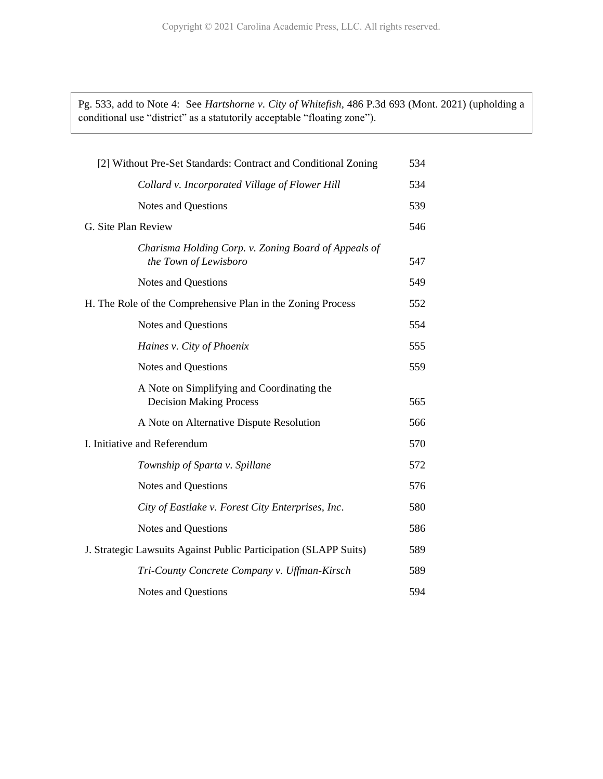Pg. 533, add to Note 4: See *Hartshorne v. City of Whitefish,* 486 P.3d 693 (Mont. 2021) (upholding a conditional use "district" as a statutorily acceptable "floating zone").

| [2] Without Pre-Set Standards: Contract and Conditional Zoning                | 534 |
|-------------------------------------------------------------------------------|-----|
| Collard v. Incorporated Village of Flower Hill                                | 534 |
|                                                                               |     |
| <b>Notes and Questions</b>                                                    | 539 |
| G. Site Plan Review                                                           | 546 |
| Charisma Holding Corp. v. Zoning Board of Appeals of<br>the Town of Lewisboro | 547 |
| <b>Notes and Questions</b>                                                    | 549 |
| H. The Role of the Comprehensive Plan in the Zoning Process                   | 552 |
| <b>Notes and Questions</b>                                                    | 554 |
| Haines v. City of Phoenix                                                     | 555 |
| <b>Notes and Questions</b>                                                    | 559 |
| A Note on Simplifying and Coordinating the<br><b>Decision Making Process</b>  | 565 |
| A Note on Alternative Dispute Resolution                                      | 566 |
| I. Initiative and Referendum                                                  | 570 |
| Township of Sparta v. Spillane                                                | 572 |
| <b>Notes and Questions</b>                                                    | 576 |
| City of Eastlake v. Forest City Enterprises, Inc.                             | 580 |
| <b>Notes and Questions</b>                                                    | 586 |
| J. Strategic Lawsuits Against Public Participation (SLAPP Suits)              | 589 |
| Tri-County Concrete Company v. Uffman-Kirsch                                  | 589 |
| <b>Notes and Questions</b>                                                    | 594 |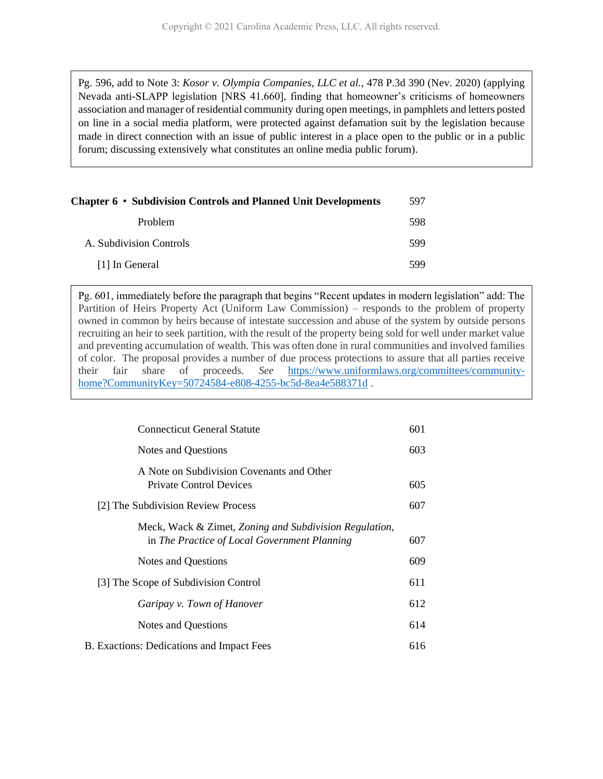Pg. 596, add to Note 3: *Kosor v. Olympia Companies, LLC et al.*, 478 P.3d 390 (Nev. 2020) (applying Nevada anti-SLAPP legislation [NRS 41.660], finding that homeowner's criticisms of homeowners association and manager of residential community during open meetings, in pamphlets and letters posted on line in a social media platform, were protected against defamation suit by the legislation because made in direct connection with an issue of public interest in a place open to the public or in a public forum; discussing extensively what constitutes an online media public forum).

| Chapter 6 • Subdivision Controls and Planned Unit Developments | 597 |
|----------------------------------------------------------------|-----|
| <b>Problem</b>                                                 | 598 |
| A. Subdivision Controls                                        | 599 |
| [1] In General                                                 | 599 |

Pg. 601, immediately before the paragraph that begins "Recent updates in modern legislation" add: The Partition of Heirs Property Act (Uniform Law Commission) – responds to the problem of property owned in common by heirs because of intestate succession and abuse of the system by outside persons recruiting an heir to seek partition, with the result of the property being sold for well under market value and preventing accumulation of wealth. This was often done in rural communities and involved families of color. The proposal provides a number of due process protections to assure that all parties receive their fair share of proceeds. *See* [https://www.uniformlaws.org/committees/community](https://www.uniformlaws.org/committees/community-home?CommunityKey=50724584-e808-4255-bc5d-8ea4e588371d)[home?CommunityKey=50724584-e808-4255-bc5d-8ea4e588371d](https://www.uniformlaws.org/committees/community-home?CommunityKey=50724584-e808-4255-bc5d-8ea4e588371d) .

| <b>Connecticut General Statute</b>                                                                     | 601 |
|--------------------------------------------------------------------------------------------------------|-----|
| <b>Notes and Questions</b>                                                                             | 603 |
| A Note on Subdivision Covenants and Other<br><b>Private Control Devices</b>                            | 605 |
| [2] The Subdivision Review Process                                                                     | 607 |
| Meck, Wack & Zimet, Zoning and Subdivision Regulation,<br>in The Practice of Local Government Planning | 607 |
| Notes and Questions                                                                                    | 609 |
| [3] The Scope of Subdivision Control                                                                   | 611 |
| Garipay v. Town of Hanover                                                                             | 612 |
| <b>Notes and Questions</b>                                                                             | 614 |
| <b>B.</b> Exactions: Dedications and Impact Fees                                                       | 616 |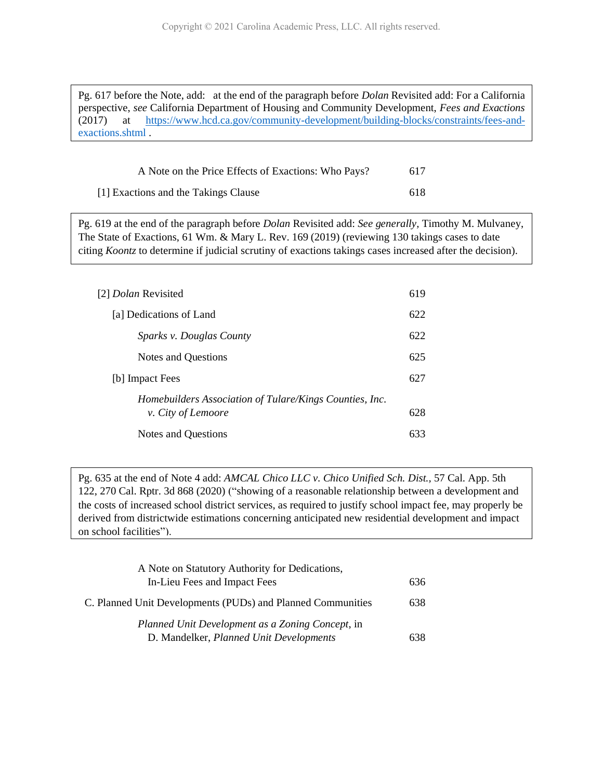Pg. 617 before the Note, add: at the end of the paragraph before *Dolan* Revisited add: For a California perspective, *see* California Department of Housing and Community Development, *Fees and Exactions*  (2017) at [https://www.hcd.ca.gov/community-development/building-blocks/constraints/fees-and](https://www.hcd.ca.gov/community-development/building-blocks/constraints/fees-and-exactions.shtml)[exactions.shtml](https://www.hcd.ca.gov/community-development/building-blocks/constraints/fees-and-exactions.shtml) .

| A Note on the Price Effects of Exactions: Who Pays? | 617  |
|-----------------------------------------------------|------|
| [1] Exactions and the Takings Clause                | -618 |

Pg. 619 at the end of the paragraph before *Dolan* Revisited add: *See generally,* Timothy M. Mulvaney, The State of Exactions, 61 Wm. & Mary L. Rev. 169 (2019) (reviewing 130 takings cases to date citing *Koontz* to determine if judicial scrutiny of exactions takings cases increased after the decision).

| [2] <i>Dolan</i> Revisited                                                           | 619 |
|--------------------------------------------------------------------------------------|-----|
| [a] Dedications of Land                                                              | 622 |
| Sparks v. Douglas County                                                             | 622 |
| Notes and Questions                                                                  | 625 |
| [b] Impact Fees                                                                      | 627 |
| Homebuilders Association of Tulare/Kings Counties, Inc.<br><i>v.</i> City of Lemoore | 628 |
| Notes and Questions                                                                  | 633 |

Pg. 635 at the end of Note 4 add: *AMCAL Chico LLC v. Chico Unified Sch. Dist.,* 57 Cal. App. 5th 122, 270 Cal. Rptr. 3d 868 (2020) ("showing of a reasonable relationship between a development and the costs of increased school district services, as required to justify school impact fee, may properly be derived from districtwide estimations concerning anticipated new residential development and impact on school facilities").

| A Note on Statutory Authority for Dedications,              |     |
|-------------------------------------------------------------|-----|
| In-Lieu Fees and Impact Fees                                | 636 |
| C. Planned Unit Developments (PUDs) and Planned Communities | 638 |
| Planned Unit Development as a Zoning Concept, in            |     |
| D. Mandelker, Planned Unit Developments                     | 638 |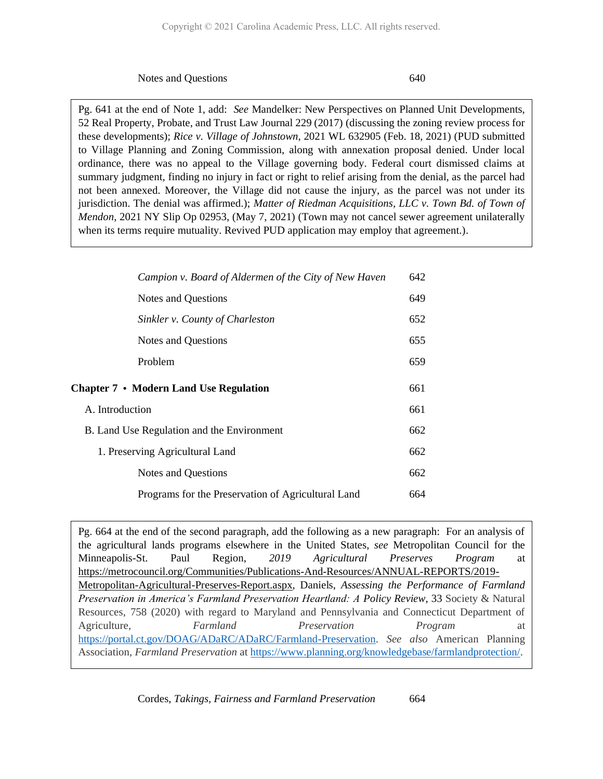Notes and Questions 640

Pg. 641 at the end of Note 1, add: *See* Mandelker: New Perspectives on Planned Unit Developments, 52 Real Property, Probate, and Trust Law Journal 229 (2017) (discussing the zoning review process for these developments); *Rice v. Village of Johnstown*, 2021 WL 632905 (Feb. 18, 2021) (PUD submitted to Village Planning and Zoning Commission, along with annexation proposal denied. Under local ordinance, there was no appeal to the Village governing body. Federal court dismissed claims at summary judgment, finding no injury in fact or right to relief arising from the denial, as the parcel had not been annexed. Moreover, the Village did not cause the injury, as the parcel was not under its jurisdiction. The denial was affirmed.); *Matter of Riedman Acquisitions, LLC v. Town Bd. of Town of Mendon*, 2021 NY Slip Op 02953, (May 7, 2021) (Town may not cancel sewer agreement unilaterally when its terms require mutuality. Revived PUD application may employ that agreement.).

| Campion v. Board of Aldermen of the City of New Haven | 642 |
|-------------------------------------------------------|-----|
| <b>Notes and Questions</b>                            | 649 |
| Sinkler v. County of Charleston                       | 652 |
| <b>Notes and Questions</b>                            | 655 |
| Problem                                               | 659 |
| <b>Chapter 7 • Modern Land Use Regulation</b>         | 661 |
| A. Introduction                                       | 661 |
| B. Land Use Regulation and the Environment            | 662 |
| 1. Preserving Agricultural Land                       | 662 |
| <b>Notes and Questions</b>                            | 662 |
| Programs for the Preservation of Agricultural Land    | 664 |

Pg. 664 at the end of the second paragraph, add the following as a new paragraph: For an analysis of the agricultural lands programs elsewhere in the United States, *see* Metropolitan Council for the Minneapolis-St. Paul Region, *2019 Agricultural Preserves Program* at [https://metrocouncil.org/Communities/Publications-And-Resources/ANNUAL-REPORTS/2019-](https://metrocouncil.org/Communities/Publications-And-Resources/ANNUAL-REPORTS/2019-Metropolitan-Agricultural-Preserves-Report.aspx) [Metropolitan-Agricultural-Preserves-Report.aspx,](https://metrocouncil.org/Communities/Publications-And-Resources/ANNUAL-REPORTS/2019-Metropolitan-Agricultural-Preserves-Report.aspx) Daniels, *Assessing the Performance of Farmland Preservation in America's Farmland Preservation Heartland: A Policy Review*, 33 Society & Natural Resources, 758 (2020) with regard to Maryland and Pennsylvania and Connecticut Department of Agriculture, *Farmland Preservation Program* at [https://portal.ct.gov/DOAG/ADaRC/ADaRC/Farmland-Preservation.](https://portal.ct.gov/DOAG/ADaRC/ADaRC/Farmland-Preservation) *See also* American Planning Association, *Farmland Preservation* at [https://www.planning.org/knowledgebase/farmlandprotection/.](https://www.planning.org/knowledgebase/farmlandprotection/)

Cordes, *Takings, Fairness and Farmland Preservation* 664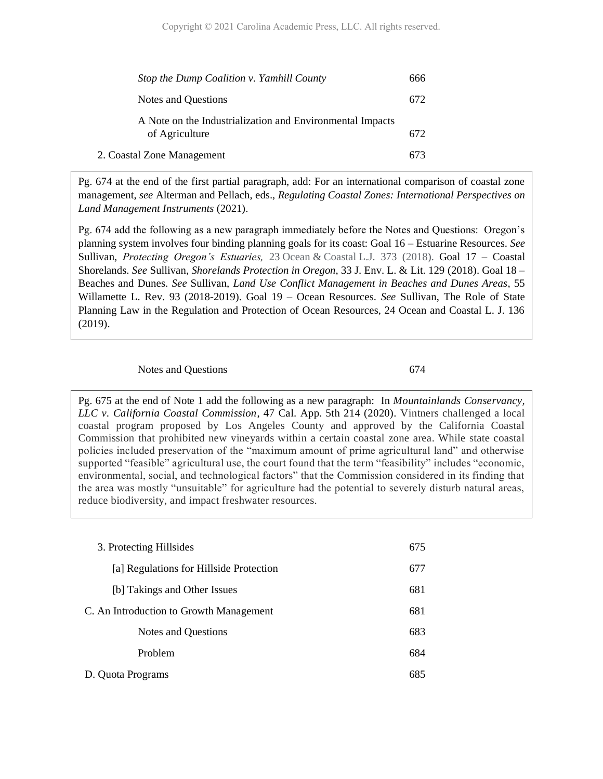| Stop the Dump Coalition v. Yamhill County                                   | 666 |
|-----------------------------------------------------------------------------|-----|
| Notes and Questions                                                         | 672 |
| A Note on the Industrialization and Environmental Impacts<br>of Agriculture | 672 |
| 2. Coastal Zone Management                                                  |     |

Pg. 674 at the end of the first partial paragraph, add: For an international comparison of coastal zone management, *see* Alterman and Pellach, eds., *Regulating Coastal Zones: International Perspectives on Land Management Instruments* (2021).

Pg. 674 add the following as a new paragraph immediately before the Notes and Questions: Oregon's planning system involves four binding planning goals for its coast: Goal 16 – Estuarine Resources. *See* Sullivan, *Protecting Oregon's Estuaries,* 23 Ocean & Coastal L.J. 373 (2018). Goal 17 – Coastal Shorelands. *See* Sullivan, *Shorelands Protection in Oregon*, 33 J. Env. L. & Lit. 129 (2018). Goal 18 – Beaches and Dunes. *See* Sullivan, *Land Use Conflict Management in Beaches and Dunes Areas*, 55 Willamette L. Rev. 93 (2018-2019). Goal 19 – Ocean Resources. *See* Sullivan, The Role of State Planning Law in the Regulation and Protection of Ocean Resources, 24 Ocean and Coastal L. J. 136 (2019).

#### Notes and Questions 674

Pg. 675 at the end of Note 1 add the following as a new paragraph: In *[Mountainlands Conservancy,](https://www.californialandusedevelopmentlaw.com/2020/05/05/no-coastal-development-permit-required-where-coastal-commission-had-certified-citys-local-coastal-program/)  [LLC v. California Coastal Commission](https://www.californialandusedevelopmentlaw.com/2020/05/05/no-coastal-development-permit-required-where-coastal-commission-had-certified-citys-local-coastal-program/)*, 47 Cal. App. 5th 214 (2020). Vintners challenged a local coastal program proposed by Los Angeles County and approved by the California Coastal Commission that prohibited new vineyards within a certain coastal zone area. While state coastal policies included preservation of the "maximum amount of prime agricultural land" and otherwise supported "feasible" agricultural use, the court found that the term "feasibility" includes "economic, environmental, social, and technological factors" that the Commission considered in its finding that the area was mostly "unsuitable" for agriculture had the potential to severely disturb natural areas, reduce biodiversity, and impact freshwater resources.

| 3. Protecting Hillsides                 | 675 |
|-----------------------------------------|-----|
| [a] Regulations for Hillside Protection | 677 |
| [b] Takings and Other Issues            | 681 |
| C. An Introduction to Growth Management | 681 |
| Notes and Questions                     | 683 |
| Problem                                 | 684 |
| D. Quota Programs                       | 685 |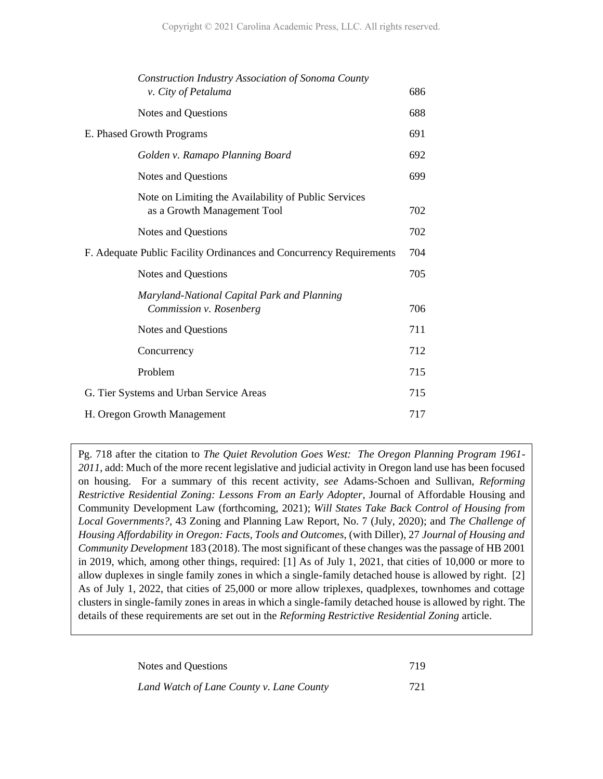| Construction Industry Association of Sonoma County<br>v. City of Petaluma           | 686 |
|-------------------------------------------------------------------------------------|-----|
| Notes and Questions                                                                 | 688 |
| E. Phased Growth Programs                                                           | 691 |
| Golden v. Ramapo Planning Board                                                     | 692 |
| Notes and Questions                                                                 | 699 |
| Note on Limiting the Availability of Public Services<br>as a Growth Management Tool | 702 |
| Notes and Questions                                                                 | 702 |
| F. Adequate Public Facility Ordinances and Concurrency Requirements                 | 704 |
| Notes and Questions                                                                 | 705 |
| Maryland-National Capital Park and Planning<br>Commission v. Rosenberg              | 706 |
| Notes and Questions                                                                 | 711 |
| Concurrency                                                                         | 712 |
| Problem                                                                             | 715 |
| G. Tier Systems and Urban Service Areas                                             | 715 |
| H. Oregon Growth Management<br>717                                                  |     |
|                                                                                     |     |

Pg. 718 after the citation to *The Quiet Revolution Goes West: The Oregon Planning Program 1961- 2011*, add: Much of the more recent legislative and judicial activity in Oregon land use has been focused on housing. For a summary of this recent activity, *see* Adams-Schoen and Sullivan, *Reforming Restrictive Residential Zoning: Lessons From an Early Adopter*, Journal of Affordable Housing and Community Development Law (forthcoming, 2021); *Will States Take Back Control of Housing from Local Governments?,* 43 Zoning and Planning Law Report, No. 7 (July, 2020); and *The Challenge of Housing Affordability in Oregon: Facts, Tools and Outcomes*, (with Diller), 27 *Journal of Housing and Community Development* 183 (2018). The most significant of these changes was the passage of HB 2001 in 2019, which, among other things, required: [1] As of July 1, 2021, that cities of 10,000 or more to allow duplexes in single family zones in which a single-family detached house is allowed by right. [2] As of July 1, 2022, that cities of 25,000 or more allow triplexes, quadplexes, townhomes and cottage clusters in single-family zones in areas in which a single-family detached house is allowed by right. The details of these requirements are set out in the *Reforming Restrictive Residential Zoning* article.

| Notes and Questions                      | 719 |
|------------------------------------------|-----|
| Land Watch of Lane County v. Lane County | 721 |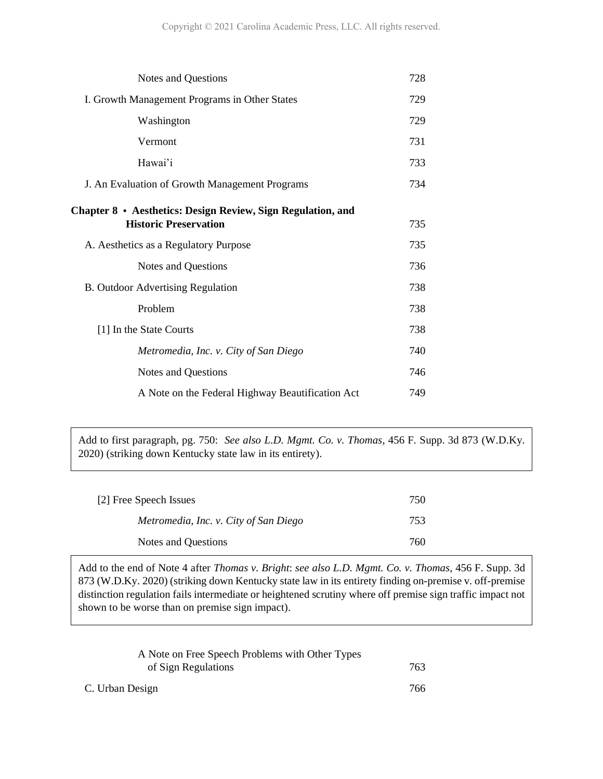| Notes and Questions                                                                         | 728 |
|---------------------------------------------------------------------------------------------|-----|
| I. Growth Management Programs in Other States                                               | 729 |
| Washington                                                                                  | 729 |
| Vermont                                                                                     | 731 |
| Hawai'i                                                                                     | 733 |
| J. An Evaluation of Growth Management Programs                                              | 734 |
| Chapter 8 · Aesthetics: Design Review, Sign Regulation, and<br><b>Historic Preservation</b> | 735 |
|                                                                                             |     |
| A. Aesthetics as a Regulatory Purpose                                                       | 735 |
| <b>Notes and Questions</b>                                                                  | 736 |
| <b>B.</b> Outdoor Advertising Regulation                                                    | 738 |
| Problem                                                                                     | 738 |
| [1] In the State Courts                                                                     | 738 |
| Metromedia, Inc. v. City of San Diego                                                       | 740 |
| Notes and Questions                                                                         | 746 |
| A Note on the Federal Highway Beautification Act                                            | 749 |
|                                                                                             |     |

Add to first paragraph, pg. 750: *See also L.D. Mgmt. Co. v. Thomas*, 456 F. Supp. 3d 873 (W.D.Ky. 2020) (striking down Kentucky state law in its entirety).

| [2] Free Speech Issues                | 750 |
|---------------------------------------|-----|
| Metromedia, Inc. v. City of San Diego | 753 |
| Notes and Questions                   | 760 |

Add to the end of Note 4 after *Thomas v. Bright*: *see also L.D. Mgmt. Co. v. Thomas*, 456 F. Supp. 3d 873 (W.D.Ky. 2020) (striking down Kentucky state law in its entirety finding on-premise v. off-premise distinction regulation fails intermediate or heightened scrutiny where off premise sign traffic impact not shown to be worse than on premise sign impact).

| A Note on Free Speech Problems with Other Types |     |
|-------------------------------------------------|-----|
| of Sign Regulations                             | 763 |
| C. Urban Design                                 | 766 |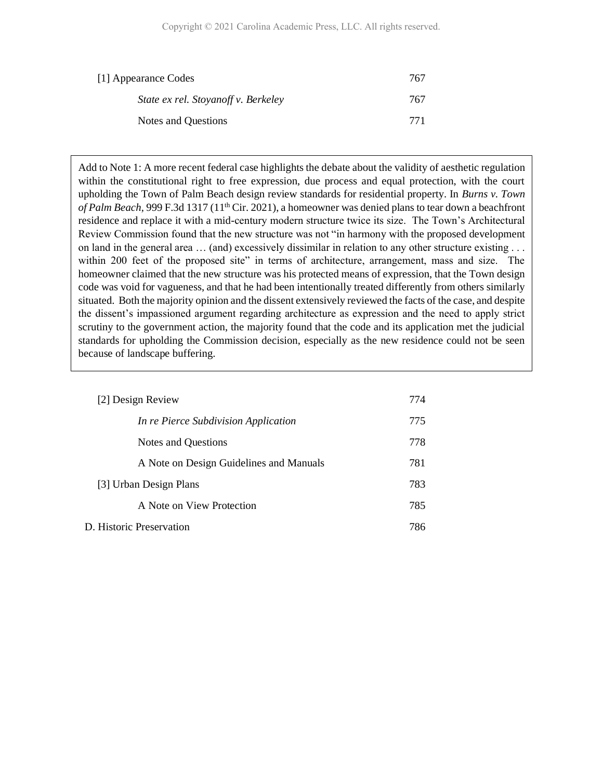| [1] Appearance Codes                | 767 |
|-------------------------------------|-----|
| State ex rel. Stoyanoff v. Berkeley | 767 |
| Notes and Questions                 | 771 |

Add to Note 1: A more recent federal case highlights the debate about the validity of aesthetic regulation within the constitutional right to free expression, due process and equal protection, with the court upholding the Town of Palm Beach design review standards for residential property. In *Burns v. Town of Palm Beach,* 999 F.3d 1317 (11th Cir. 2021), a homeowner was denied plans to tear down a beachfront residence and replace it with a mid-century modern structure twice its size. The Town's Architectural Review Commission found that the new structure was not "in harmony with the proposed development on land in the general area … (and) excessively dissimilar in relation to any other structure existing . . . within 200 feet of the proposed site" in terms of architecture, arrangement, mass and size. The homeowner claimed that the new structure was his protected means of expression, that the Town design code was void for vagueness, and that he had been intentionally treated differently from others similarly situated. Both the majority opinion and the dissent extensively reviewed the facts of the case, and despite the dissent's impassioned argument regarding architecture as expression and the need to apply strict scrutiny to the government action, the majority found that the code and its application met the judicial standards for upholding the Commission decision, especially as the new residence could not be seen because of landscape buffering.

| [2] Design Review                       | 774 |
|-----------------------------------------|-----|
| In re Pierce Subdivision Application    | 775 |
| Notes and Questions                     | 778 |
| A Note on Design Guidelines and Manuals | 781 |
| [3] Urban Design Plans                  | 783 |
| A Note on View Protection               | 785 |
| D. Historic Preservation                | 786 |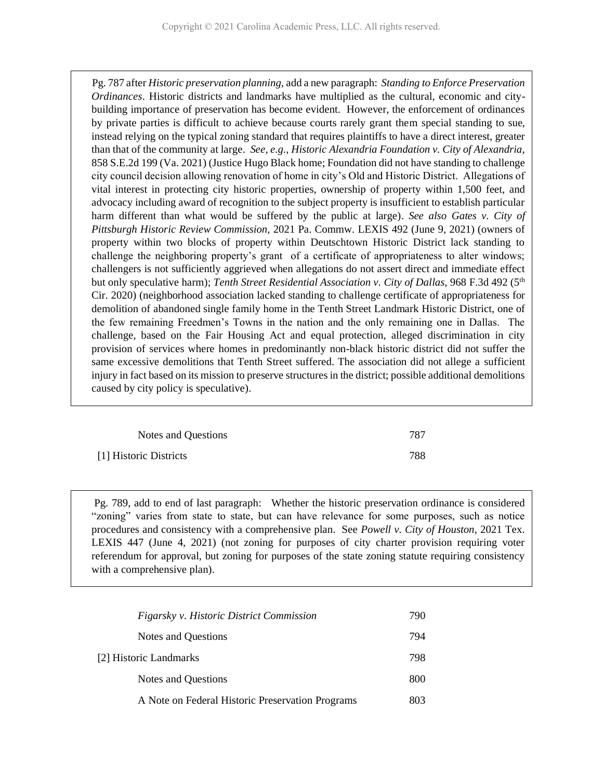Pg. 787 after *Historic preservation planning*, add a new paragraph: *Standing to Enforce Preservation Ordinances*. Historic districts and landmarks have multiplied as the cultural, economic and citybuilding importance of preservation has become evident. However, the enforcement of ordinances by private parties is difficult to achieve because courts rarely grant them special standing to sue, instead relying on the typical zoning standard that requires plaintiffs to have a direct interest, greater than that of the community at large. *See, e.g., Historic Alexandria Foundation v. City of Alexandria*, 858 S.E.2d 199 (Va. 2021) (Justice Hugo Black home; Foundation did not have standing to challenge city council decision allowing renovation of home in city's Old and Historic District. Allegations of vital interest in protecting city historic properties, ownership of property within 1,500 feet, and advocacy including award of recognition to the subject property is insufficient to establish particular harm different than what would be suffered by the public at large). *See also Gates v. City of Pittsburgh Historic Review Commission*, 2021 Pa. Commw. LEXIS 492 (June 9, 2021) (owners of property within two blocks of property within Deutschtown Historic District lack standing to challenge the neighboring property's grant of a certificate of appropriateness to alter windows; challengers is not sufficiently aggrieved when allegations do not assert direct and immediate effect but only speculative harm); *Tenth Street Residential Association v. City of Dallas*, 968 F.3d 492 (5th Cir. 2020) (neighborhood association lacked standing to challenge certificate of appropriateness for demolition of abandoned single family home in the Tenth Street Landmark Historic District, one of the few remaining Freedmen's Towns in the nation and the only remaining one in Dallas. The challenge, based on the Fair Housing Act and equal protection, alleged discrimination in city provision of services where homes in predominantly non-black historic district did not suffer the same excessive demolitions that Tenth Street suffered. The association did not allege a sufficient injury in fact based on its mission to preserve structures in the district; possible additional demolitions caused by city policy is speculative).

| Notes and Questions    | 787 |
|------------------------|-----|
| [1] Historic Districts | 788 |

Pg. 789, add to end of last paragraph: Whether the historic preservation ordinance is considered "zoning" varies from state to state, but can have relevance for some purposes, such as notice procedures and consistency with a comprehensive plan. See *Powell v. City of Houston*, 2021 Tex. LEXIS 447 (June 4, 2021) (not zoning for purposes of city charter provision requiring voter referendum for approval, but zoning for purposes of the state zoning statute requiring consistency with a comprehensive plan).

| Figarsky v. Historic District Commission         | 790 |
|--------------------------------------------------|-----|
| Notes and Questions                              | 794 |
| [2] Historic Landmarks                           | 798 |
| Notes and Questions                              | 800 |
| A Note on Federal Historic Preservation Programs | 803 |